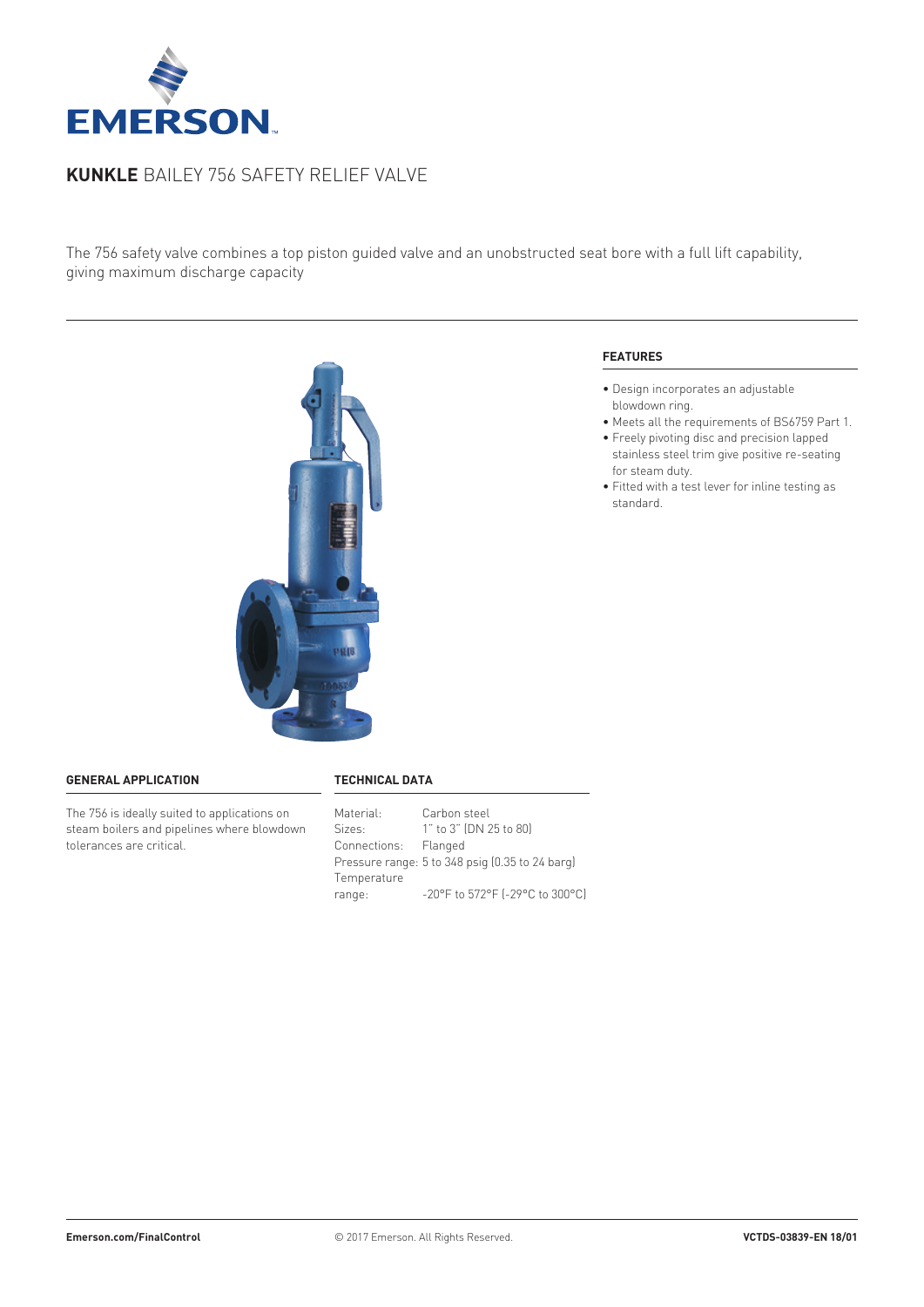

# **Kunkle** Bailey 756 safety relief valve

The 756 safety valve combines a top piston guided valve and an unobstructed seat bore with a full lift capability, giving maximum discharge capacity



## **General application**

The 756 is ideally suited to applications on steam boilers and pipelines where blowdown tolerances are critical.

#### **Technical data**

| Material:            | Carbon steel                                    |
|----------------------|-------------------------------------------------|
| Sizes:               | 1" to 3" (DN 25 to 80)                          |
| Connections: Flanged |                                                 |
|                      | Pressure range: 5 to 348 psig (0.35 to 24 barg) |
| Temperature          |                                                 |
| range:               | -20°F to 572°F (-29°C to 300°C)                 |

# **Features**

- Design incorporates an adjustable blowdown ring.
- Meets all the requirements of BS6759 Part 1.
- Freely pivoting disc and precision lapped stainless steel trim give positive re-seating for steam duty.
- Fitted with a test lever for inline testing as standard.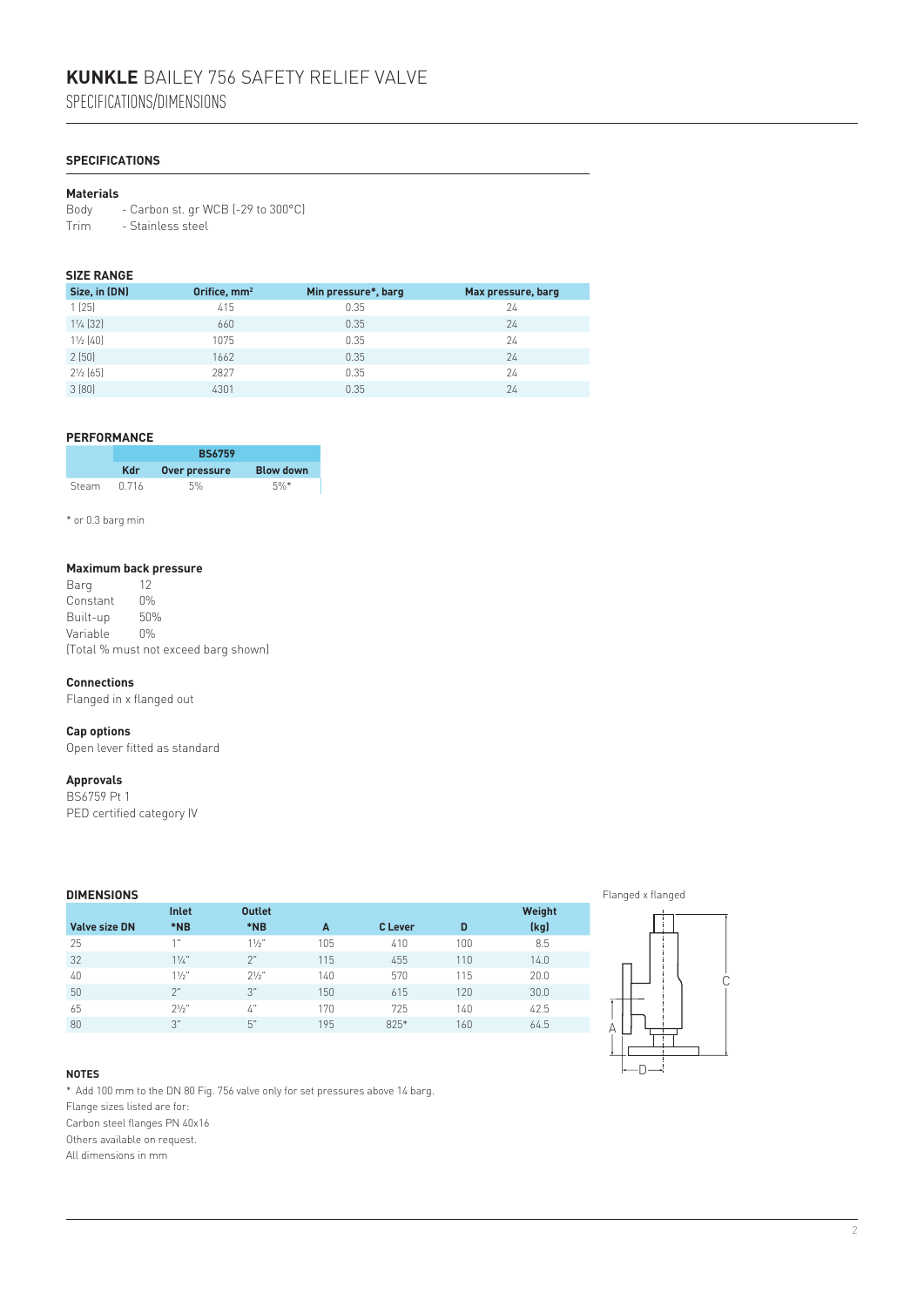# **Kunkle** Bailey 756 safety relief valve

Specifications/dimensions

# **Specifications**

# **Materials**

Body - Carbon st. gr WCB (-29 to 300°C) Trim - Stainless steel

# **Size Range**

| Size, in (DN)       | Orifice, mm <sup>2</sup> | Min pressure*, barg | Max pressure, barg |
|---------------------|--------------------------|---------------------|--------------------|
| 1(25)               | 415                      | 0.35                | 24                 |
| $1\frac{1}{4}$ (32) | 660                      | 0.35                | 24                 |
| $1\frac{1}{2}$ [40] | 1075                     | 0.35                | 24                 |
| 2(50)               | 1662                     | 0.35                | 24                 |
| $2\frac{1}{2}$ (65) | 2827                     | 0.35                | 24                 |
| 3(80)               | 4301                     | 0.35                | 24                 |

# **Performance**

|       | <b>BS6759</b> |               |                  |  |  |  |
|-------|---------------|---------------|------------------|--|--|--|
|       | <b>Kdr</b>    | Over pressure | <b>Blow down</b> |  |  |  |
| Steam | 0.716         | 5%            | $5\%$ *          |  |  |  |

\* or 0.3 barg min

# **Maximum back pressure**

Barg Constant 0%<br>Built-up 50% Built-up 50% Variable (Total % must not exceed barg shown)

#### **Connections**

Flanged in x flanged out

#### **Cap options**

Open lever fitted as standard

#### **Approvals**

BS6759 Pt 1 PED certified category IV

| <b>DIMENSIONS</b>    |              |                 |     |         |     |        |
|----------------------|--------------|-----------------|-----|---------|-----|--------|
|                      | <b>Inlet</b> | <b>Outlet</b>   |     |         |     | Weight |
| <b>Valve size DN</b> | *NB          | *NB             | A   | C Lever | D   | (kg)   |
| 25                   | 4.11         | 11/2"           | 105 | 410     | 100 | 8.5    |
| 32                   | 11/a''       | 2"              | 115 | 455     | 110 | 14.0   |
| 40                   | $11/2$ "     | 21/5"           | 140 | 570     | 115 | 20.0   |
| 50                   | 2"           | 3"              | 150 | 615     | 120 | 30.0   |
| 65                   | $21/2$ "     | $\mathcal{L}$ " | 170 | 725     | 140 | 42.5   |
| 80                   | 3"           | 5"              | 195 | $825*$  | 160 | 64.5   |



#### **Notes**

\* Add 100 mm to the DN 80 Fig. 756 valve only for set pressures above 14 barg. Flange sizes listed are for:

Carbon steel flanges PN 40x16

Others available on request.

All dimensions in mm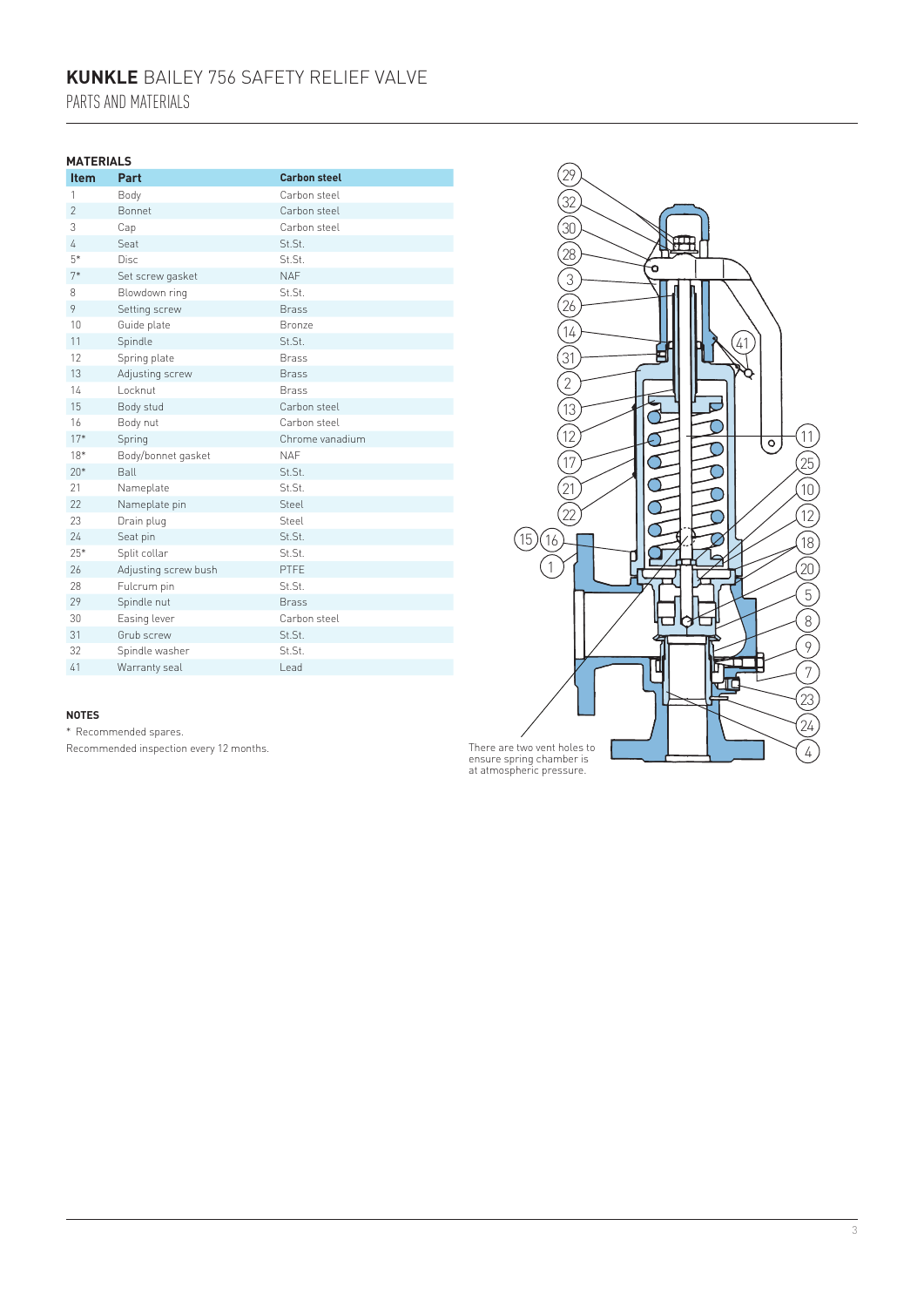# **Kunkle** Bailey 756 safety relief valve Parts and materials

### **Materials**

| <b>Item</b>    | Part                 | <b>Carbon steel</b> |
|----------------|----------------------|---------------------|
| 1              | Body                 | Carbon steel        |
| $\overline{2}$ | Bonnet               | Carbon steel        |
| 3              | Cap                  | Carbon steel        |
| 4              | Seat                 | St.St.              |
| $5*$           | <b>Disc</b>          | St.St.              |
| $7*$           | Set screw gasket     | <b>NAF</b>          |
| 8              | Blowdown ring        | St.St.              |
| 9              | Setting screw        | <b>Brass</b>        |
| 10             | Guide plate          | <b>Bronze</b>       |
| 11             | Spindle              | St.St.              |
| 12             | Spring plate         | <b>Brass</b>        |
| 13             | Adjusting screw      | <b>Brass</b>        |
| 14             | Locknut              | <b>Brass</b>        |
| 15             | Body stud            | Carbon steel        |
| 16             | Body nut             | Carbon steel        |
| $17*$          | Spring               | Chrome vanadium     |
| $18*$          | Body/bonnet gasket   | <b>NAF</b>          |
| $20*$          | Ball                 | St.St.              |
| 21             | Nameplate            | St.St.              |
| 22             | Nameplate pin        | Steel               |
| 23             | Drain plug           | Steel               |
| 24             | Seat pin             | St.St.              |
| $25*$          | Split collar         | St.St.              |
| 26             | Adjusting screw bush | PTFE                |
| 28             | Fulcrum pin          | St.St.              |
| 29             | Spindle nut          | <b>Brass</b>        |
| 30             | Easing lever         | Carbon steel        |
| 31             | Grub screw           | St.St.              |
| 32             | Spindle washer       | St.St.              |
| 41             | Warranty seal        | Lead                |

#### 29 32 30 28  $\widetilde{\widetilde{3}}$ ò  $\widetilde{\widetilde{\mathcal{Q}_6}}$  $\widetilde{\widetilde{A}}$  $\widetilde{\widetilde{\mathcal{C}}}$  $\mathcal{L}'$  $\widehat{2}$ 13  $\mathbf{K}$ ď  $\overline{12}$  $(11)$ ॑॑  $\widehat{25}$ 17 σ 10  $\frac{1}{21}$  $\sigma$  $\sqrt{12}$ 22 ⌒  $(15)(16)$ 18 20 1 5  $\left(8\right)$  $\overline{9}$ U 匝 7 .<br>23 .<br>24 4

#### **Notes**

\* Recommended spares. Recommended inspection every 12 months.

There are two vent holes to ensure spring chamber is at atmospheric pressure.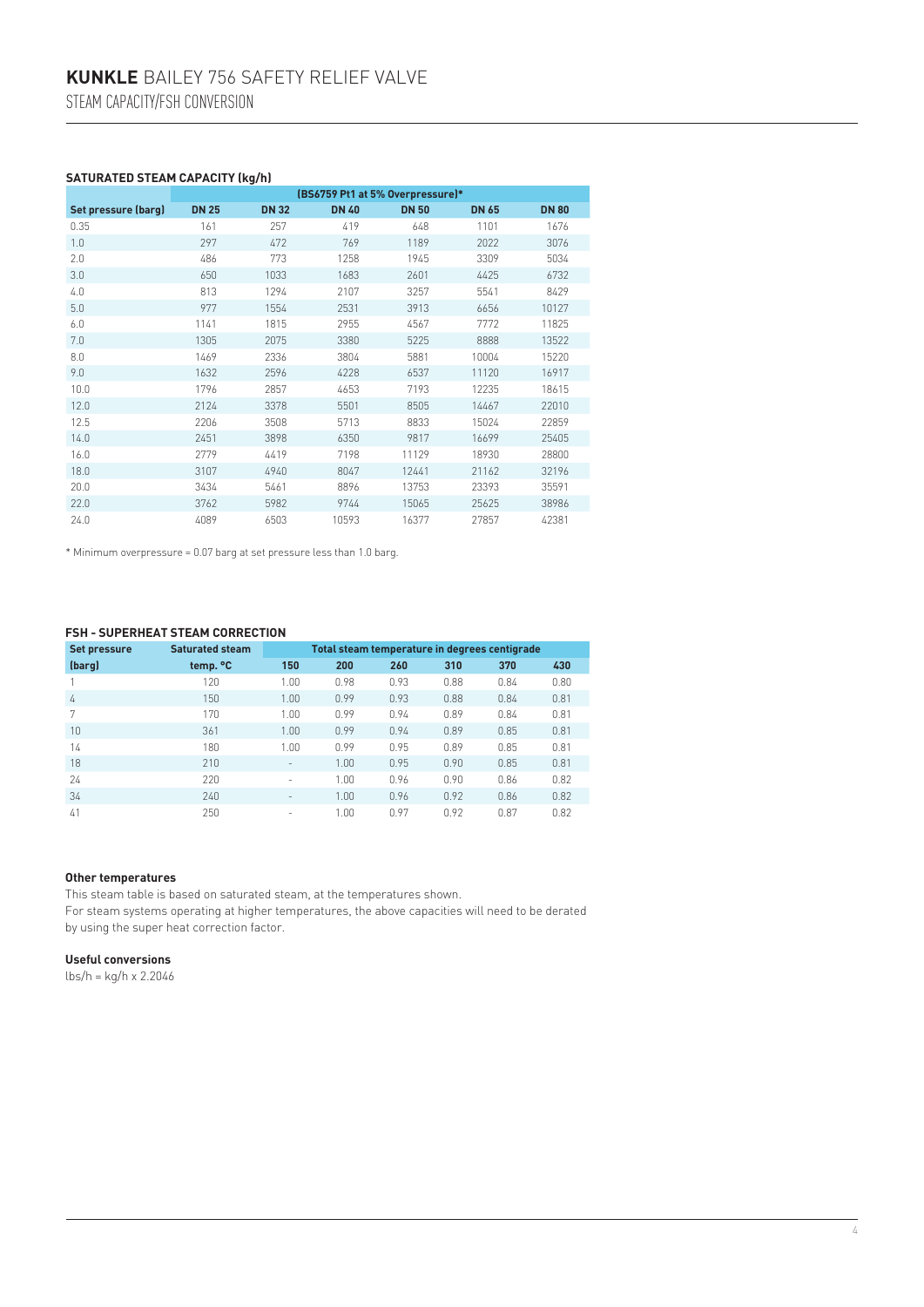# **Saturated steam capacity (kg/h)**

|                     | (BS6759 Pt1 at 5% Overpressure)* |              |              |              |              |              |  |  |
|---------------------|----------------------------------|--------------|--------------|--------------|--------------|--------------|--|--|
| Set pressure (barg) | <b>DN 25</b>                     | <b>DN 32</b> | <b>DN 40</b> | <b>DN 50</b> | <b>DN 65</b> | <b>DN 80</b> |  |  |
| 0.35                | 161                              | 257          | 419          | 648          | 1101         | 1676         |  |  |
| 1.0                 | 297                              | 472          | 769          | 1189         | 2022         | 3076         |  |  |
| 2.0                 | 486                              | 773          | 1258         | 1945         | 3309         | 5034         |  |  |
| 3.0                 | 650                              | 1033         | 1683         | 2601         | 4425         | 6732         |  |  |
| 4.0                 | 813                              | 1294         | 2107         | 3257         | 5541         | 8429         |  |  |
| 5.0                 | 977                              | 1554         | 2531         | 3913         | 6656         | 10127        |  |  |
| 6.0                 | 1141                             | 1815         | 2955         | 4567         | 7772         | 11825        |  |  |
| 7.0                 | 1305                             | 2075         | 3380         | 5225         | 8888         | 13522        |  |  |
| 8.0                 | 1469                             | 2336         | 3804         | 5881         | 10004        | 15220        |  |  |
| 9.0                 | 1632                             | 2596         | 4228         | 6537         | 11120        | 16917        |  |  |
| 10.0                | 1796                             | 2857         | 4653         | 7193         | 12235        | 18615        |  |  |
| 12.0                | 2124                             | 3378         | 5501         | 8505         | 14467        | 22010        |  |  |
| 12.5                | 2206                             | 3508         | 5713         | 8833         | 15024        | 22859        |  |  |
| 14.0                | 2451                             | 3898         | 6350         | 9817         | 16699        | 25405        |  |  |
| 16.0                | 2779                             | 4419         | 7198         | 11129        | 18930        | 28800        |  |  |
| 18.0                | 3107                             | 4940         | 8047         | 12441        | 21162        | 32196        |  |  |
| 20.0                | 3434                             | 5461         | 8896         | 13753        | 23393        | 35591        |  |  |
| 22.0                | 3762                             | 5982         | 9744         | 15065        | 25625        | 38986        |  |  |
| 24.0                | 4089                             | 6503         | 10593        | 16377        | 27857        | 42381        |  |  |

\* Minimum overpressure = 0.07 barg at set pressure less than 1.0 barg.

#### **FSH - Superheat steam correction**

| <b>Set pressure</b> | <b>Saturated steam</b> | Total steam temperature in degrees centigrade |      |      |      |      |      |  |
|---------------------|------------------------|-----------------------------------------------|------|------|------|------|------|--|
| (barg)              | temp. °C               | 150                                           | 200  | 260  | 310  | 370  | 430  |  |
|                     | 120                    | 1.00                                          | 0.98 | 0.93 | 0.88 | 0.84 | 0.80 |  |
| 4                   | 150                    | 1.00                                          | 0.99 | 0.93 | 0.88 | 0.84 | 0.81 |  |
| 7                   | 170                    | 1.00                                          | 0.99 | 0.94 | 0.89 | 0.84 | 0.81 |  |
| 10                  | 361                    | 1.00                                          | 0.99 | 0.94 | 0.89 | 0.85 | 0.81 |  |
| 14                  | 180                    | 1.00                                          | 0.99 | 0.95 | 0.89 | 0.85 | 0.81 |  |
| 18                  | 210                    | $\overline{\phantom{a}}$                      | 1.00 | 0.95 | 0.90 | 0.85 | 0.81 |  |
| 24                  | 220                    | $\overline{\phantom{a}}$                      | 1.00 | 0.96 | 0.90 | 0.86 | 0.82 |  |
| 34                  | 240                    | $\overline{\phantom{a}}$                      | 1.00 | 0.96 | 0.92 | 0.86 | 0.82 |  |
| 41                  | 250                    | ٠                                             | 1.00 | 0.97 | 0.92 | 0.87 | 0.82 |  |

## **Other temperatures**

This steam table is based on saturated steam, at the temperatures shown. For steam systems operating at higher temperatures, the above capacities will need to be derated by using the super heat correction factor.

#### **Useful conversions**

lbs/h = kg/h x 2.2046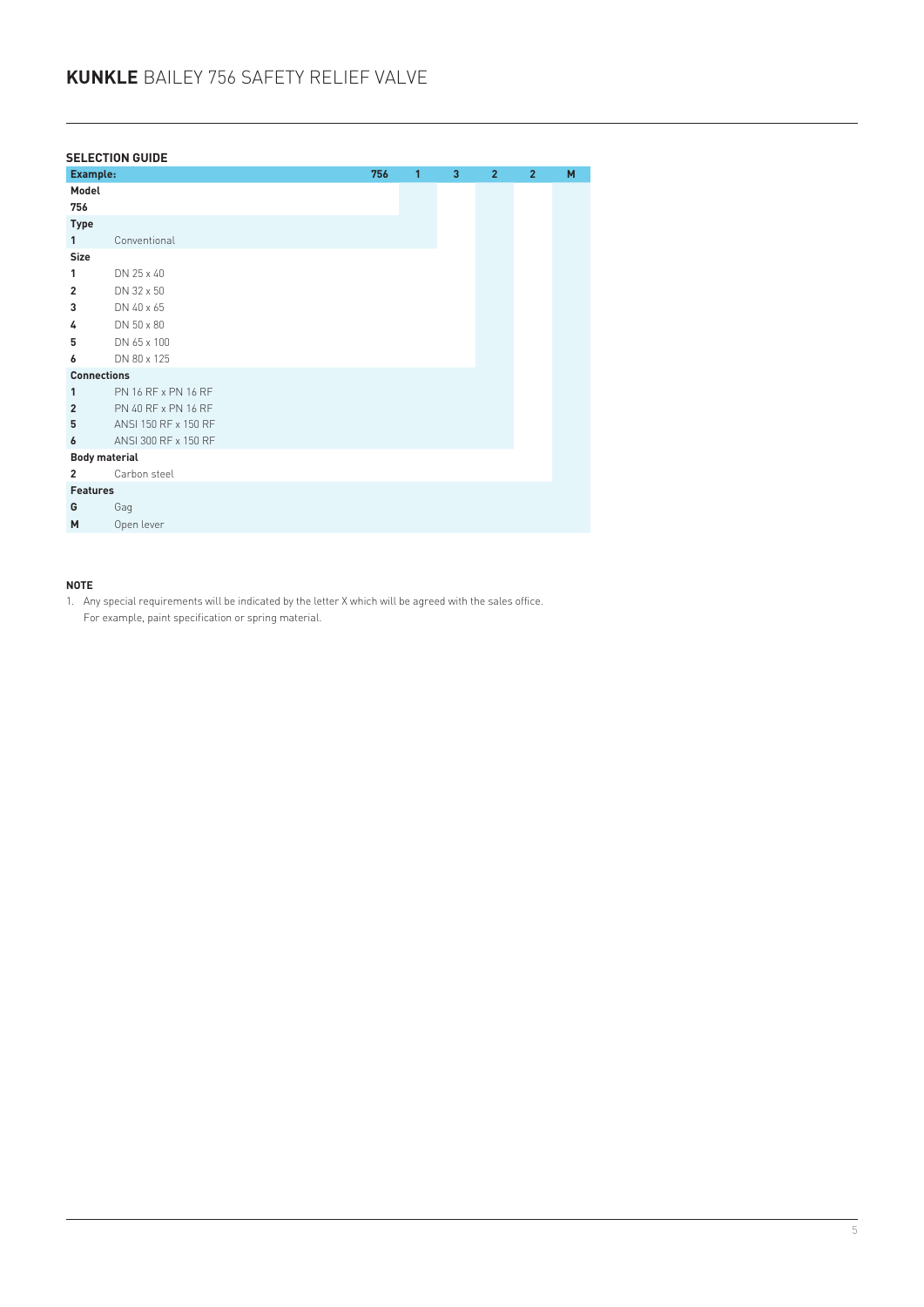|                      | <b>SELECTION GUIDE</b> |     |   |   |                |                |   |
|----------------------|------------------------|-----|---|---|----------------|----------------|---|
| Example:             |                        | 756 | 1 | 3 | $\overline{2}$ | $\overline{2}$ | M |
| Model                |                        |     |   |   |                |                |   |
| 756                  |                        |     |   |   |                |                |   |
| <b>Type</b>          |                        |     |   |   |                |                |   |
| $\mathbf{1}$         | Conventional           |     |   |   |                |                |   |
| Size                 |                        |     |   |   |                |                |   |
| 1                    | DN 25 x 40             |     |   |   |                |                |   |
| $\overline{2}$       | DN 32 x 50             |     |   |   |                |                |   |
| 3                    | DN 40 x 65             |     |   |   |                |                |   |
| 4                    | DN 50 x 80             |     |   |   |                |                |   |
| 5                    | DN 65 x 100            |     |   |   |                |                |   |
| 6                    | DN 80 x 125            |     |   |   |                |                |   |
| <b>Connections</b>   |                        |     |   |   |                |                |   |
| 1                    | PN 16 RF x PN 16 RF    |     |   |   |                |                |   |
| $\overline{2}$       | PN 40 RF x PN 16 RF    |     |   |   |                |                |   |
| 5                    | ANSI 150 RF x 150 RF   |     |   |   |                |                |   |
| 6                    | ANSI 300 RF x 150 RF   |     |   |   |                |                |   |
| <b>Body material</b> |                        |     |   |   |                |                |   |
| $\overline{2}$       | Carbon steel           |     |   |   |                |                |   |
| <b>Features</b>      |                        |     |   |   |                |                |   |
| G                    | Gag                    |     |   |   |                |                |   |
| M                    | Open lever             |     |   |   |                |                |   |

# **Note**

1. Any special requirements will be indicated by the letter X which will be agreed with the sales office. For example, paint specification or spring material.